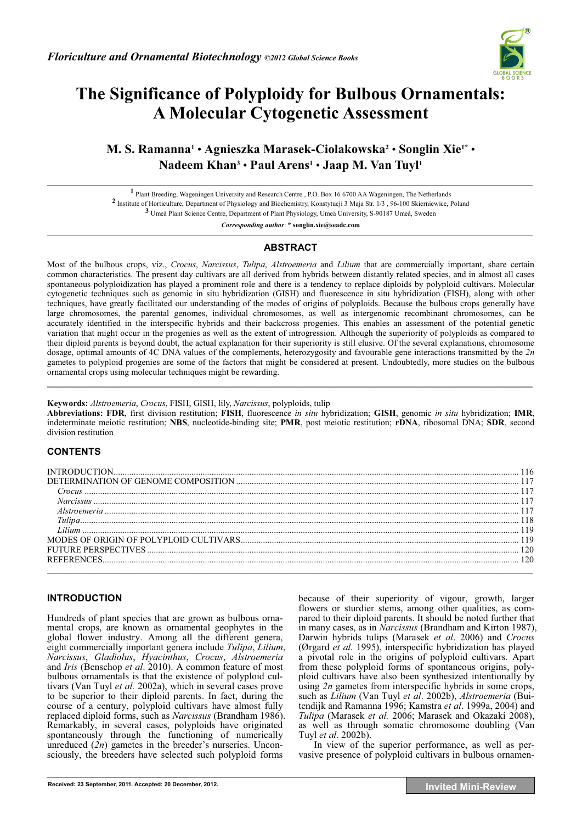

# **The Significance of Polyploidy for Bulbous Ornamentals: A Molecular Cytogenetic Assessment**

# **M. S. Ramanna1** • **Agnieszka Marasek-Ciolakowska2** • **Songlin Xie1\*** • **Nadeem Khan3** • **Paul Arens1** • **Jaap M. Van Tuyl1**

**1** Plant Breeding, Wageningen University and Research Centre , P.O. Box 16 6700 AA Wageningen, The Netherlands **2** Institute of Horticulture, Department of Physiology and Biochemistry, Konstytucji 3 Maja Str. 1/3 , 96-100 Skierniewice, Poland **3** Umeå Plant Science Centre, Department of Plant Physiology, Umeå University, S-90187 Umeå, Sweden

*Corresponding author*: **\* songlin.xie@seadc.com** 

## **ABSTRACT**

Most of the bulbous crops, viz., *Crocus*, *Narcissus*, *Tulipa*, *Alstroemeria* and *Lilium* that are commercially important, share certain common characteristics. The present day cultivars are all derived from hybrids between distantly related species, and in almost all cases spontaneous polyploidization has played a prominent role and there is a tendency to replace diploids by polyploid cultivars. Molecular cytogenetic techniques such as genomic in situ hybridization (GISH) and fluorescence in situ hybridization (FISH), along with other techniques, have greatly facilitated our understanding of the modes of origins of polyploids. Because the bulbous crops generally have large chromosomes, the parental genomes, individual chromosomes, as well as intergenomic recombinant chromosomes, can be accurately identified in the interspecific hybrids and their backcross progenies. This enables an assessment of the potential genetic variation that might occur in the progenies as well as the extent of introgression. Although the superiority of polyploids as compared to their diploid parents is beyond doubt, the actual explanation for their superiority is still elusive. Of the several explanations, chromosome dosage, optimal amounts of 4C DNA values of the complements, heterozygosity and favourable gene interactions transmitted by the *2n*  gametes to polyploid progenies are some of the factors that might be considered at present. Undoubtedly, more studies on the bulbous ornamental crops using molecular techniques might be rewarding.  $\mathcal{L}_\mathcal{L} = \mathcal{L}_\mathcal{L} = \mathcal{L}_\mathcal{L} = \mathcal{L}_\mathcal{L} = \mathcal{L}_\mathcal{L} = \mathcal{L}_\mathcal{L} = \mathcal{L}_\mathcal{L} = \mathcal{L}_\mathcal{L} = \mathcal{L}_\mathcal{L} = \mathcal{L}_\mathcal{L} = \mathcal{L}_\mathcal{L} = \mathcal{L}_\mathcal{L} = \mathcal{L}_\mathcal{L} = \mathcal{L}_\mathcal{L} = \mathcal{L}_\mathcal{L} = \mathcal{L}_\mathcal{L} = \mathcal{L}_\mathcal{L}$ 

#### **Keywords:** *Alstroemeria*, *Crocus*, FISH, GISH, lily, *Narcissus*, polyploids, tulip

**Abbreviations: FDR**, first division restitution; **FISH**, fluorescence *in situ* hybridization; **GISH**, genomic *in situ* hybridization; **IMR**, indeterminate meiotic restitution; **NBS**, nucleotide-binding site; **PMR**, post meiotic restitution; **rDNA**, ribosomal DNA; **SDR**, second division restitution

# **CONTENTS**

### **INTRODUCTION**

Hundreds of plant species that are grown as bulbous ornamental crops, are known as ornamental geophytes in the global flower industry. Among all the different genera, eight commercially important genera include *Tulipa*, *Lilium*, *Narcissus*, *Gladiolus*, *Hyacinthus*, *Crocus*, *Alstroemeria* and *Iris* (Benschop *et al*. 2010). A common feature of most bulbous ornamentals is that the existence of polyploid cultivars (Van Tuyl *et al.* 2002a), which in several cases prove to be superior to their diploid parents. In fact, during the course of a century, polyploid cultivars have almost fully replaced diploid forms, such as *Narcissus* (Brandham 1986). Remarkably, in several cases, polyploids have originated spontaneously through the functioning of numerically unreduced (*2n*) gametes in the breeder's nurseries. Unconsciously, the breeders have selected such polyploid forms

because of their superiority of vigour, growth, larger flowers or sturdier stems, among other qualities, as compared to their diploid parents. It should be noted further that in many cases, as in *Narcissus* (Brandham and Kirton 1987), Darwin hybrids tulips (Marasek *et al*. 2006) and *Crocus* (Ørgard *et al.* 1995), interspecific hybridization has played a pivotal role in the origins of polyploid cultivars. Apart from these polyploid forms of spontaneous origins, polyploid cultivars have also been synthesized intentionally by using *2n* gametes from interspecific hybrids in some crops, such as *Lilium* (Van Tuyl *et al*. 2002b), *Alstroemeria* (Buitendijk and Ramanna 1996; Kamstra *et al*. 1999a, 2004) and *Tulipa* (Marasek *et al.* 2006; Marasek and Okazaki 2008), as well as through somatic chromosome doubling (Van Tuyl *et al*. 2002b).

In view of the superior performance, as well as pervasive presence of polyploid cultivars in bulbous ornamen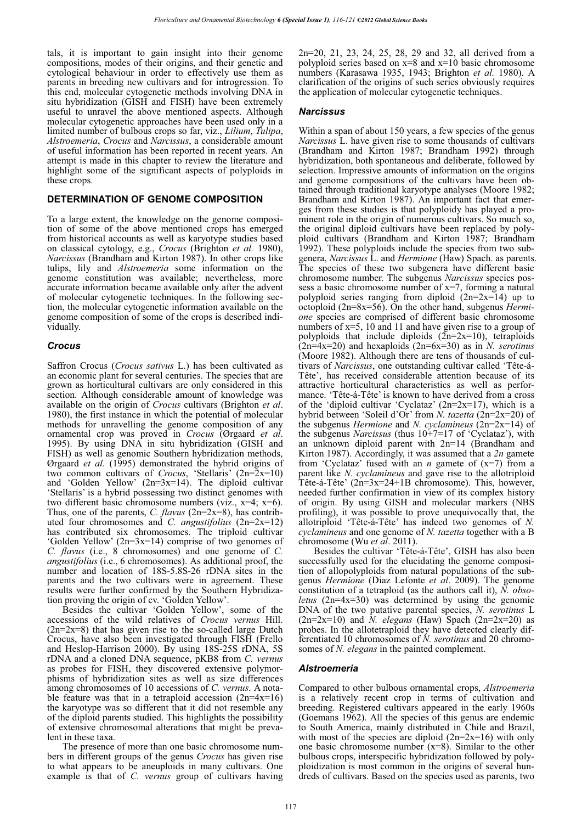tals, it is important to gain insight into their genome compositions, modes of their origins, and their genetic and cytological behaviour in order to effectively use them as parents in breeding new cultivars and for introgression. To this end, molecular cytogenetic methods involving DNA in situ hybridization (GISH and FISH) have been extremely useful to unravel the above mentioned aspects. Although molecular cytogenetic approaches have been used only in a limited number of bulbous crops so far, viz., *Lilium*, *Tulipa*, *Alstroemeria*, *Crocus* and *Narcissus*, a considerable amount of useful information has been reported in recent years. An attempt is made in this chapter to review the literature and highlight some of the significant aspects of polyploids in these crops.

#### **DETERMINATION OF GENOME COMPOSITION**

To a large extent, the knowledge on the genome composition of some of the above mentioned crops has emerged from historical accounts as well as karyotype studies based on classical cytology, e.g., *Crocus* (Brighton *et al.* 1980), *Narcissus* (Brandham and Kirton 1987). In other crops like tulips, lily and *Alstroemeria* some information on the genome constitution was available; nevertheless, more accurate information became available only after the advent of molecular cytogenetic techniques. In the following section, the molecular cytogenetic information available on the genome composition of some of the crops is described individually.

#### *Crocus*

Saffron Crocus (*Crocus sativus* L.) has been cultivated as an economic plant for several centuries. The species that are grown as horticultural cultivars are only considered in this section. Although considerable amount of knowledge was available on the origin of *Crocus* cultivars (Brighton *et al*. 1980), the first instance in which the potential of molecular methods for unravelling the genome composition of any ornamental crop was proved in *Crocus* (Ørgaard *et al*. 1995). By using DNA in situ hybridization (GISH and FISH) as well as genomic Southern hybridization methods, Ørgaard *et al.* (1995) demonstrated the hybrid origins of two common cultivars of *Crocus*, 'Stellaris' (2n=2x=10) and 'Golden Yellow' (2n=3x=14). The diploid cultivar 'Stellaris' is a hybrid possessing two distinct genomes with two different basic chromosome numbers (viz., x=4; x=6). Thus, one of the parents, *C. flavus* (2n=2x=8), has contributed four chromosomes and *C. angustifolius* (2n=2x=12) has contributed six chromosomes. The triploid cultivar 'Golden Yellow' (2n=3x=14) comprise of two genomes of *C. flavus* (i.e., 8 chromosomes) and one genome of *C. angustifolius* (i.e., 6 chromosomes). As additional proof, the number and location of 18S-5.8S-26 rDNA sites in the parents and the two cultivars were in agreement. These results were further confirmed by the Southern Hybridization proving the origin of cv. 'Golden Yellow'.

Besides the cultivar 'Golden Yellow', some of the accessions of the wild relatives of *Crocus vernus* Hill.  $(2n=2x=8)$  that has given rise to the so-called large Dutch Crocus, have also been investigated through FISH (Frello and Heslop-Harrison 2000). By using 18S-25S rDNA, 5S rDNA and a cloned DNA sequence, pKB8 from *C. vernus* as probes for FISH, they discovered extensive polymorphisms of hybridization sites as well as size differences among chromosomes of 10 accessions of *C. vernus*. A notable feature was that in a tetraploid accession  $(2n=4x=16)$ the karyotype was so different that it did not resemble any of the diploid parents studied. This highlights the possibility of extensive chromosomal alterations that might be prevalent in these taxa.

The presence of more than one basic chromosome numbers in different groups of the genus *Crocus* has given rise to what appears to be aneuploids in many cultivars. One example is that of *C. vernus* group of cultivars having 2n=20, 21, 23, 24, 25, 28, 29 and 32, all derived from a polyploid series based on  $x=8$  and  $x=10$  basic chromosome numbers (Karasawa 1935, 1943; Brighton *et al.* 1980). A clarification of the origins of such series obviously requires the application of molecular cytogenetic techniques.

#### *Narcissus*

Within a span of about 150 years, a few species of the genus *Narcissus* L. have given rise to some thousands of cultivars (Brandham and Kirton 1987; Brandham 1992) through hybridization, both spontaneous and deliberate, followed by selection. Impressive amounts of information on the origins and genome compositions of the cultivars have been obtained through traditional karyotype analyses (Moore 1982; Brandham and Kirton 1987). An important fact that emerges from these studies is that polyploidy has played a prominent role in the origin of numerous cultivars. So much so, the original diploid cultivars have been replaced by polyploid cultivars (Brandham and Kirton 1987; Brandham 1992). These polyploids include the species from two subgenera, *Narcissus* L. and *Hermione* (Haw) Spach. as parents. The species of these two subgenera have different basic chromosome number. The subgenus *Narcissus* species possess a basic chromosome number of x=7, forming a natural polyploid series ranging from diploid (2n=2x=14) up to octoploid (2n=8x=56). On the other hand, subgenus *Hermione* species are comprised of different basic chromosome numbers of x=5, 10 and 11 and have given rise to a group of polyploids that include diploids  $(2n=2x=10)$ , tetraploids (2n=4x=20) and hexaploids (2n=6x=30) as in *N. serotinus* (Moore 1982). Although there are tens of thousands of cultivars of *Narcissus*, one outstanding cultivar called 'Tête-á-Tête', has received considerable attention because of its attractive horticultural characteristics as well as performance. 'Tête-á-Tête' is known to have derived from a cross of the 'diploid cultivar 'Cyclataz'  $(2n=2x=17)$ , which is a hybrid between 'Soleil d'Or' from *N. tazetta* (2n=2x=20) of the subgenus *Hermione* and *N. cyclamineus* (2n=2x=14) of the subgenus *Narcissus* (thus 10+7=17 of 'Cyclataz'), with an unknown diploid parent with 2n=14 (Brandham and Kirton 1987). Accordingly, it was assumed that a *2n* gamete from 'Cyclataz' fused with an *n* gamete of (x=7) from a parent like *N. cyclamineus* and gave rise to the allotriploid Tête-á-Tête' (2n=3x=24+1B chromosome). This, however, needed further confirmation in view of its complex history of origin. By using GISH and molecular markers (NBS profiling), it was possible to prove unequivocally that, the allotriploid 'Tête-á-Tête' has indeed two genomes of *N. cyclamineus* and one genome of *N. tazetta* together with a B chromosome (Wu *et al*. 2011).

Besides the cultivar 'Tête-á-Tête', GISH has also been successfully used for the elucidating the genome composition of allopolyploids from natural populations of the subgenus *Hermione* (Diaz Lefonte *et al*. 2009). The genome constitution of a tetraploid (as the authors call it), *N. obsoletus* (2n=4x=30) was determined by using the genomic DNA of the two putative parental species, *N. serotinus* L  $(2n=2x=10)$  and *N. elegans* (Haw) Spach  $(2n=2x=20)$  as probes. In the allotetraploid they have detected clearly differentiated 10 chromosomes of *N. serotinus* and 20 chromosomes of *N. elegans* in the painted complement.

#### *Alstroemeria*

Compared to other bulbous ornamental crops, *Alstroemeria* is a relatively recent crop in terms of cultivation and breeding. Registered cultivars appeared in the early 1960s (Goemans 1962). All the species of this genus are endemic to South America, mainly distributed in Chile and Brazil, with most of the species are diploid  $(2n=2x=16)$  with only one basic chromosome number (x=8). Similar to the other bulbous crops, interspecific hybridization followed by polyploidization is most common in the origins of several hundreds of cultivars. Based on the species used as parents, two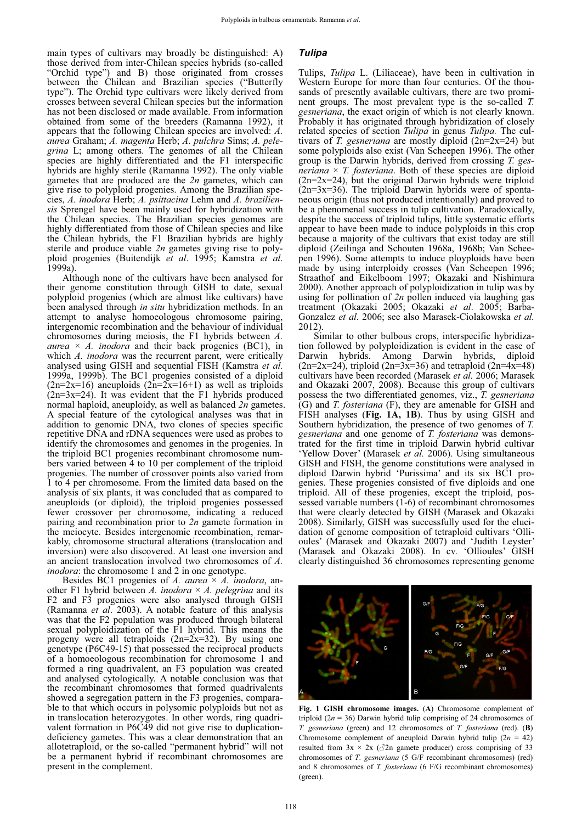main types of cultivars may broadly be distinguished: A) those derived from inter-Chilean species hybrids (so-called "Orchid type") and B) those originated from crosses between the Chilean and Brazilian species ("Butterfly type"). The Orchid type cultivars were likely derived from crosses between several Chilean species but the information has not been disclosed or made available. From information obtained from some of the breeders (Ramanna 1992), it appears that the following Chilean species are involved: *A. aurea* Graham; *A. magenta* Herb; *A. pulchra* Sims; *A. pelegrina* L; among others. The genomes of all the Chilean species are highly differentiated and the F1 interspecific hybrids are highly sterile (Ramanna 1992). The only viable gametes that are produced are the *2n* gametes, which can give rise to polyploid progenies. Among the Brazilian species, *A. inodora* Herb; *A. psittacina* Lehm and *A. braziliensis* Sprengel have been mainly used for hybridization with the Chilean species. The Brazilian species genomes are highly differentiated from those of Chilean species and like the Chilean hybrids, the F1 Brazilian hybrids are highly sterile and produce viable *2n* gametes giving rise to polyploid progenies (Buitendijk *et al*. 1995; Kamstra *et al*. 1999a).

Although none of the cultivars have been analysed for their genome constitution through GISH to date, sexual polyploid progenies (which are almost like cultivars) have been analysed through *in situ* hybridization methods. In an attempt to analyse homoeologous chromosome pairing, intergenomic recombination and the behaviour of individual chromosomes during meiosis, the F1 hybrids between *A. aurea*  $\times$  *A. inodora* and their back progenies (BC1), in which *A. inodora* was the recurrent parent, were critically analysed using GISH and sequential FISH (Kamstra *et al.*  1999a, 1999b). The BC1 progenies consisted of a diploid  $(2n=2x=16)$  aneuploids  $(2n=2x=16+1)$  as well as triploids  $(2n=3x=24)$ . It was evident that the F1 hybrids produced normal haploid, aneuploidy, as well as balanced *2n* gametes. A special feature of the cytological analyses was that in addition to genomic DNA, two clones of species specific repetitive DNA and rDNA sequences were used as probes to identify the chromosomes and genomes in the progenies. In the triploid BC1 progenies recombinant chromosome numbers varied between 4 to 10 per complement of the triploid progenies. The number of crossover points also varied from 1 to 4 per chromosome. From the limited data based on the analysis of six plants, it was concluded that as compared to aneuploids (or diploid), the triploid progenies possessed fewer crossover per chromosome, indicating a reduced pairing and recombination prior to *2n* gamete formation in the meiocyte. Besides intergenomic recombination, remarkably, chromosome structural alterations (translocation and inversion) were also discovered. At least one inversion and an ancient translocation involved two chromosomes of *A. inodora*: the chromosome 1 and 2 in one genotype.

Besides BC1 progenies of *A. aurea* × *A. inodora*, another F1 hybrid between *A. inodora* × *A. pelegrina* and its F2 and F3 progenies were also analysed through GISH (Ramanna *et al*. 2003). A notable feature of this analysis was that the F2 population was produced through bilateral sexual polyploidization of the F1 hybrid. This means the progeny were all tetraploids  $(2n=2x=32)$ . By using one genotype (P6C49-15) that possessed the reciprocal products of a homoeologous recombination for chromosome 1 and formed a ring quadrivalent, an F3 population was created and analysed cytologically. A notable conclusion was that the recombinant chromosomes that formed quadrivalents showed a segregation pattern in the F3 progenies, comparable to that which occurs in polysomic polyploids but not as in translocation heterozygotes. In other words, ring quadrivalent formation in P6C49 did not give rise to duplicationdeficiency gametes. This was a clear demonstration that an allotetraploid, or the so-called "permanent hybrid" will not be a permanent hybrid if recombinant chromosomes are present in the complement.

#### *Tulipa*

Tulips, *Tulipa* L. (Liliaceae), have been in cultivation in Western Europe for more than four centuries. Of the thousands of presently available cultivars, there are two prominent groups. The most prevalent type is the so-called *T. gesneriana*, the exact origin of which is not clearly known. Probably it has originated through hybridization of closely related species of section *Tulipa* in genus *Tulipa.* The cultivars of *T. gesneriana* are mostly diploid (2n=2x=24) but some polyploids also exist (Van Scheepen 1996). The other group is the Darwin hybrids, derived from crossing *T. gesneriana*  $\times$  *T. fosteriana*. Both of these species are diploid (2n=2x=24), but the original Darwin hybrids were triploid  $(2n=3x=36)$ . The triploid Darwin hybrids were of spontaneous origin (thus not produced intentionally) and proved to be a phenomenal success in tulip cultivation. Paradoxically, despite the success of triploid tulips, little systematic efforts appear to have been made to induce polyploids in this crop because a majority of the cultivars that exist today are still diploid (Zeilinga and Schouten 1968a, 1968b; Van Scheepen 1996). Some attempts to induce ployploids have been made by using interploidy crosses (Van Scheepen 1996; Straathof and Eikelboom 1997; Okazaki and Nishimura 2000). Another approach of polyploidization in tulip was by using for pollination of *2n* pollen induced via laughing gas treatment (Okazaki 2005; Okazaki *et al*. 2005; Barba-Gonzalez *et al*. 2006; see also Marasek-Ciolakowska *et al.*  2012).

Similar to other bulbous crops, interspecific hybridization followed by polyploidization is evident in the case of Darwin hybrids. Among Darwin hybrids, diploid  $(2n=2x=24)$ , triploid  $(2n=3x=36)$  and tetraploid  $(2n=4x=48)$ cultivars have been recorded (Marasek *et al.* 2006; Marasek and Okazaki 2007, 2008). Because this group of cultivars possess the two differentiated genomes, viz., *T. gesneriana* (G) and *T. fosteriana* (F), they are amenable for GISH and FISH analyses (**Fig. 1A, 1B**). Thus by using GISH and Southern hybridization, the presence of two genomes of *T. gesneriana* and one genome of *T. fosteriana* was demonstrated for the first time in triploid Darwin hybrid cultivar 'Yellow Dover' (Marasek *et al.* 2006). Using simultaneous GISH and FISH, the genome constitutions were analysed in diploid Darwin hybrid 'Purissima' and its six BC1 progenies. These progenies consisted of five diploids and one triploid. All of these progenies, except the triploid, possessed variable numbers (1-6) of recombinant chromosomes that were clearly detected by GISH (Marasek and Okazaki 2008). Similarly, GISH was successfully used for the elucidation of genome composition of tetraploid cultivars 'Ollioules' (Marasek and Okazaki 2007) and 'Judith Leyster' (Marasek and Okazaki 2008). In cv. 'Ollioules' GISH clearly distinguished 36 chromosomes representing genome



**Fig. 1 GISH chromosome images.** (**A**) Chromosome complement of triploid ( $2n = 36$ ) Darwin hybrid tulip comprising of 24 chromosomes of *T. gesneriana* (green) and 12 chromosomes of *T. fosteriana* (red). (**B**) Chromosome complement of aneuploid Darwin hybrid tulip  $(2n = 42)$ resulted from  $3x \times 2x$  ( $\sqrt{2}$ n gamete producer) cross comprising of 33 chromosomes of *T*. *gesneriana* (5 G/F recombinant chromosomes) (red) and 8 chromosomes of *T. fosteriana* (6 F/G recombinant chromosomes) (green).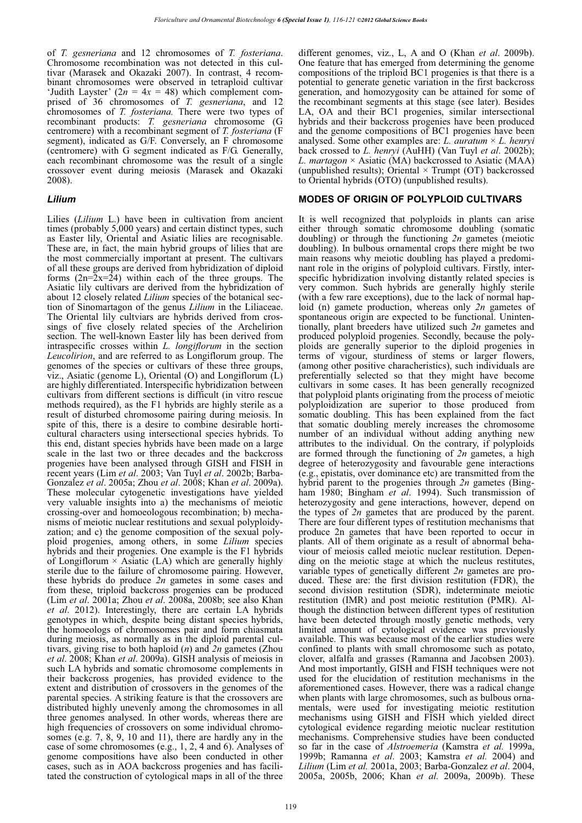of *T. gesneriana* and 12 chromosomes of *T. fosteriana*. Chromosome recombination was not detected in this cultivar (Marasek and Okazaki 2007). In contrast, 4 recombinant chromosomes were observed in tetraploid cultivar 'Judith Layster'  $(2n = 4x = 48)$  which complement comprised of 36 chromosomes of *T. gesneriana*, and 12 chromosomes of *T. fosteriana.* There were two types of recombinant products: *T. gesneriana* chromosome (G centromere) with a recombinant segment of *T. fosteriana* (F segment), indicated as G/F. Conversely, an F chromosome (centromere) with G segment indicated as F/G. Generally, each recombinant chromosome was the result of a single crossover event during meiosis (Marasek and Okazaki 2008).

#### *Lilium*

Lilies (*Lilium* L.) have been in cultivation from ancient times (probably 5,000 years) and certain distinct types, such as Easter lily, Oriental and Asiatic lilies are recognisable. These are, in fact, the main hybrid groups of lilies that are the most commercially important at present. The cultivars of all these groups are derived from hybridization of diploid forms  $(2n=2x=24)$  within each of the three groups. The Asiatic lily cultivars are derived from the hybridization of about 12 closely related *Lilium* species of the botanical section of Sinomartagon of the genus *Lilium* in the Liliaceae. The Oriental lily cultviars are hybrids derived from crossings of five closely related species of the Archelirion section. The well-known Easter lily has been derived from intraspecific crosses within *L. longiflorum* in the section *Leucolirion*, and are referred to as Longiflorum group. The genomes of the species or cultivars of these three groups, viz., Asiatic (genome L), Oriental (O) and Longiflorum (L) are highly differentiated. Interspecific hybridization between cultivars from different sections is difficult (in vitro rescue methods required), as the F1 hybrids are highly sterile as a result of disturbed chromosome pairing during meiosis. In spite of this, there is a desire to combine desirable horticultural characters using intersectional species hybrids. To this end, distant species hybrids have been made on a large scale in the last two or three decades and the backcross progenies have been analysed through GISH and FISH in recent years (Lim *et al*. 2003; Van Tuyl *et al*. 2002b; Barba-Gonzalez *et al*. 2005a; Zhou *et al*. 2008; Khan *et al*. 2009a). These molecular cytogenetic investigations have yielded very valuable insights into a) the mechanisms of meiotic crossing-over and homoeologous recombination; b) mechanisms of meiotic nuclear restitutions and sexual polyploidyzation; and c) the genome composition of the sexual polyploid progenies, among others, in some *Lilium* species hybrids and their progenies. One example is the F1 hybrids of Longiflorum  $\times$  Asiatic (LA) which are generally highly sterile due to the failure of chromosome pairing. However, these hybrids do produce *2n* gametes in some cases and from these, triploid backcross progenies can be produced (Lim *et al*. 2001a; Zhou *et al*. 2008a, 2008b; see also Khan *et al*. 2012). Interestingly, there are certain LA hybrids genotypes in which, despite being distant species hybrids, the homoeologs of chromosomes pair and form chiasmata during meiosis, as normally as in the diploid parental cultivars, giving rise to both haploid (*n*) and *2n* gametes (Zhou *et al*. 2008; Khan *et al*. 2009a). GISH analysis of meiosis in such LA hybrids and somatic chromosome complements in their backcross progenies, has provided evidence to the extent and distribution of crossovers in the genomes of the parental species. A striking feature is that the crossovers are distributed highly unevenly among the chromosomes in all three genomes analysed. In other words, whereas there are high frequencies of crossovers on some individual chromosomes (e.g. 7, 8, 9, 10 and 11), there are hardly any in the case of some chromosomes (e.g., 1, 2, 4 and 6). Analyses of genome compositions have also been conducted in other cases, such as in AOA backcross progenies and has facilitated the construction of cytological maps in all of the three

different genomes, viz., L, A and O (Khan *et al*. 2009b). One feature that has emerged from determining the genome compositions of the triploid BC1 progenies is that there is a potential to generate genetic variation in the first backcross generation, and homozygosity can be attained for some of the recombinant segments at this stage (see later). Besides LA, OA and their BC1 progenies, similar intersectional hybrids and their backcross progenies have been produced and the genome compositions of BC1 progenies have been analysed. Some other examples are: *L. auratum* × *L. henryi* back crossed to *L. henryi* (AuHH) (Van Tuyl *et al*. 2002b); *L. martagon* × Asiatic (MA) backcrossed to Asiatic (MAA) (unpublished results); Oriental  $\times$  Trumpt (OT) backcrossed to Oriental hybrids (OTO) (unpublished results).

#### **MODES OF ORIGIN OF POLYPLOID CULTIVARS**

It is well recognized that polyploids in plants can arise either through somatic chromosome doubling (somatic doubling) or through the functioning *2n* gametes (meiotic doubling). In bulbous ornamental crops there might be two main reasons why meiotic doubling has played a predominant role in the origins of polyploid cultivars. Firstly, interspecific hybridization involving distantly related species is very common. Such hybrids are generally highly sterile (with a few rare exceptions), due to the lack of normal haploid (n) gamete production, whereas only *2n* gametes of spontaneous origin are expected to be functional. Unintentionally, plant breeders have utilized such *2n* gametes and produced polyploid progenies. Secondly, because the polyploids are generally superior to the diploid progenies in terms of vigour, sturdiness of stems or larger flowers, (among other positive characheristics), such individuals are preferentially selected so that they might have become cultivars in some cases. It has been generally recognized that polyploid plants originating from the process of meiotic polyploidization are superior to those produced from somatic doubling. This has been explained from the fact that somatic doubling merely increases the chromosome number of an individual without adding anything new attributes to the individual. On the contrary, if polyploids are formed through the functioning of *2n* gametes, a high degree of heterozygosity and favourable gene interactions (e.g., epistatis, over dominance etc) are transmitted from the hybrid parent to the progenies through *2n* gametes (Bingham 1980; Bingham *et al*. 1994). Such transmission of heterozygosity and gene interactions, however, depend on the types of *2n* gametes that are produced by the parent. There are four different types of restitution mechanisms that produce 2n gametes that have been reported to occur in plants. All of them originate as a result of abnormal behaviour of meiosis called meiotic nuclear restitution. Depending on the meiotic stage at which the nucleus restitutes, variable types of genetically different *2n* gametes are produced. These are: the first division restitution (FDR), the second division restitution (SDR), indeterminate meiotic restitution (IMR) and post meiotic restitution (PMR). Although the distinction between different types of restitution have been detected through mostly genetic methods, very limited amount of cytological evidence was previously available. This was because most of the earlier studies were confined to plants with small chromosome such as potato, clover, alfalfa and grasses (Ramanna and Jacobsen 2003). And most importantly, GISH and FISH techniques were not used for the elucidation of restitution mechanisms in the aforementioned cases. However, there was a radical change when plants with large chromosomes, such as bulbous ornamentals, were used for investigating meiotic restitution mechanisms using GISH and FISH which yielded direct cytological evidence regarding meiotic nuclear restitution mechanisms. Comprehensive studies have been conducted so far in the case of *Alstroemeria* (Kamstra *et al.* 1999a, 1999b; Ramanna *et al*. 2003; Kamstra *et al.* 2004) and *Lilium* (Lim *et al.* 2001a, 2003; Barba-Gonzalez *et al*. 2004, 2005a, 2005b, 2006; Khan *et al.* 2009a, 2009b). These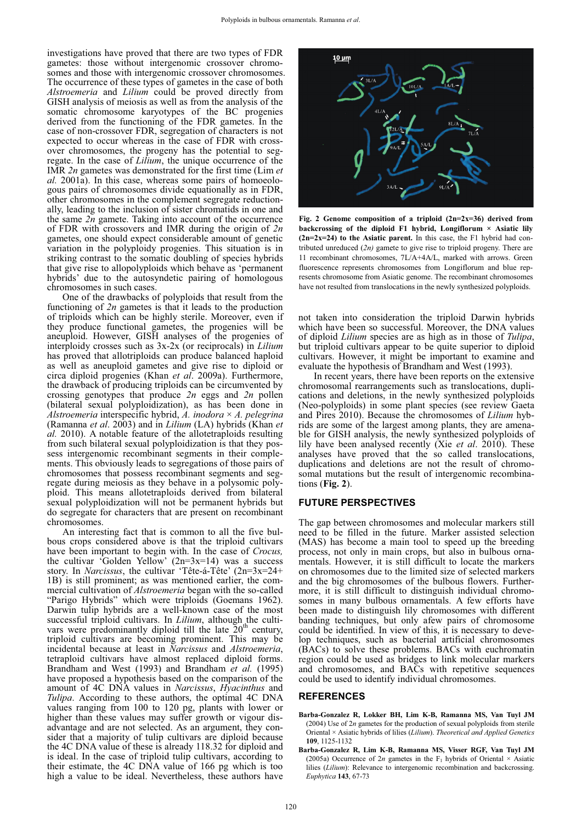investigations have proved that there are two types of FDR gametes: those without intergenomic crossover chromosomes and those with intergenomic crossover chromosomes. The occurrence of these types of gametes in the case of both *Alstroemeria* and *Lilium* could be proved directly from GISH analysis of meiosis as well as from the analysis of the somatic chromosome karyotypes of the BC progenies derived from the functioning of the FDR gametes. In the case of non-crossover FDR, segregation of characters is not expected to occur whereas in the case of FDR with crossover chromosomes, the progeny has the potential to segregate. In the case of *Lilium*, the unique occurrence of the IMR *2n* gametes was demonstrated for the first time (Lim *et al.* 2001a). In this case, whereas some pairs of homoeologous pairs of chromosomes divide equationally as in FDR, other chromosomes in the complement segregate reductionally, leading to the inclusion of sister chromatids in one and the same *2n* gamete. Taking into account of the occurrence of FDR with crossovers and IMR during the origin of *2n* gametes, one should expect considerable amount of genetic variation in the polyploidy progenies. This situation is in striking contrast to the somatic doubling of species hybrids that give rise to allopolyploids which behave as 'permanent hybrids' due to the autosyndetic pairing of homologous chromosomes in such cases.

One of the drawbacks of polyploids that result from the functioning of *2n* gametes is that it leads to the production of triploids which can be highly sterile. Moreover, even if they produce functional gametes, the progenies will be aneuploid. However, GISH analyses of the progenies of interploidy crosses such as 3x-2x (or reciprocals) in *Lilium* has proved that allotriploids can produce balanced haploid as well as aneuploid gametes and give rise to diploid or circa diploid progenies (Khan *et al*. 2009a). Furthermore, the drawback of producing triploids can be circumvented by crossing genotypes that produce *2n* eggs and *2n* pollen (bilateral sexual polyploidization), as has been done in *Alstroemeria* interspecific hybrid, *A. inodora* × *A. pelegrina* (Ramanna *et al*. 2003) and in *Lilium* (LA) hybrids (Khan *et al.* 2010). A notable feature of the allotetraploids resulting from such bilateral sexual polyploidization is that they possess intergenomic recombinant segments in their complements. This obviously leads to segregations of those pairs of chromosomes that possess recombinant segments and segregate during meiosis as they behave in a polysomic polyploid. This means allotetraploids derived from bilateral sexual polyploidization will not be permanent hybrids but do segregate for characters that are present on recombinant chromosomes.

An interesting fact that is common to all the five bulbous crops considered above is that the triploid cultivars have been important to begin with. In the case of *Crocus,* the cultivar 'Golden Yellow'  $(2n=3x=14)$  was a success story. In *Narcissus*, the cultivar 'Tête-á-Tête' (2n=3x=24+ 1B) is still prominent; as was mentioned earlier, the commercial cultivation of *Alstroemeria* began with the so-called "Parigo Hybrids" which were triploids (Goemans 1962). Darwin tulip hybrids are a well-known case of the most successful triploid cultivars. In *Lilium*, although the cultivars were predominantly diploid till the late  $20<sup>th</sup>$  century, triploid cultivars are becoming prominent. This may be incidental because at least in *Narcissus* and *Alstroemeria*, tetraploid cultivars have almost replaced diploid forms. Brandham and West (1993) and Brandham *et al.* (1995) have proposed a hypothesis based on the comparison of the amount of 4C DNA values in *Narcissus*, *Hyacinthus* and *Tulipa*. According to these authors, the optimal 4C DNA values ranging from 100 to 120 pg, plants with lower or higher than these values may suffer growth or vigour disadvantage and are not selected. As an argument, they consider that a majority of tulip cultivars are diploid because the 4C DNA value of these is already 118.32 for diploid and is ideal. In the case of triploid tulip cultivars, according to their estimate, the 4C DNA value of 166 pg which is too high a value to be ideal. Nevertheless, these authors have



**Fig. 2 Genome composition of a triploid (2n=2x=36) derived from backcrossing of the diploid F1 hybrid, Longiflorum × Asiatic lily (2n=2x=24) to the Asiatic parent.** In this case, the F1 hybrid had contributed unreduced (*2n)* gamete to give rise to triploid progeny. There are 11 recombinant chromosomes, 7L/A+4A/L, marked with arrows. Green fluorescence represents chromosomes from Longiflorum and blue represents chromosome from Asiatic genome. The recombinant chromosomes have not resulted from translocations in the newly synthesized polyploids.

not taken into consideration the triploid Darwin hybrids which have been so successful. Moreover, the DNA values of diploid *Lilium* species are as high as in those of *Tulipa*, but triploid cultivars appear to be quite superior to diploid cultivars. However, it might be important to examine and evaluate the hypothesis of Brandham and West (1993).

In recent years, there have been reports on the extensive chromosomal rearrangements such as translocations, duplications and deletions, in the newly synthesized polyploids (Neo-polyploids) in some plant species (see review Gaeta and Pires 2010). Because the chromosomes of *Lilium* hybrids are some of the largest among plants, they are amenable for GISH analysis, the newly synthesized polyploids of lily have been analysed recently (Xie *et al*. 2010). These analyses have proved that the so called translocations, duplications and deletions are not the result of chromosomal mutations but the result of intergenomic recombinations (**Fig. 2**).

#### **FUTURE PERSPECTIVES**

The gap between chromosomes and molecular markers still need to be filled in the future. Marker assisted selection (MAS) has become a main tool to speed up the breeding process, not only in main crops, but also in bulbous ornamentals. However, it is still difficult to locate the markers on chromosomes due to the limited size of selected markers and the big chromosomes of the bulbous flowers. Furthermore, it is still difficult to distinguish individual chromosomes in many bulbous ornamentals. A few efforts have been made to distinguish lily chromosomes with different banding techniques, but only afew pairs of chromosome could be identified. In view of this, it is necessary to develop techniques, such as bacterial artificial chromosomes (BACs) to solve these problems. BACs with euchromatin region could be used as bridges to link molecular markers and chromosomes, and BACs with repetitive sequences could be used to identify individual chromosomes.

#### **REFERENCES**

- **Barba-Gonzalez R, Lokker BH, Lim K-B, Ramanna MS, Van Tuyl JM** (2004) Use of 2*n* gametes for the production of sexual polyploids from sterile Oriental × Asiatic hybrids of lilies (*Lilium*). *Theoretical and Applied Genetics* **109**, 1125-1132
- **Barba-Gonzalez R, Lim K-B, Ramanna MS, Visser RGF, Van Tuyl JM**  (2005a) Occurrence of 2*n* gametes in the  $F_1$  hybrids of Oriental  $\times$  Asiatic lilies (*Lilium*): Relevance to intergenomic recombination and backcrossing. *Euphytica* **143**, 67-73